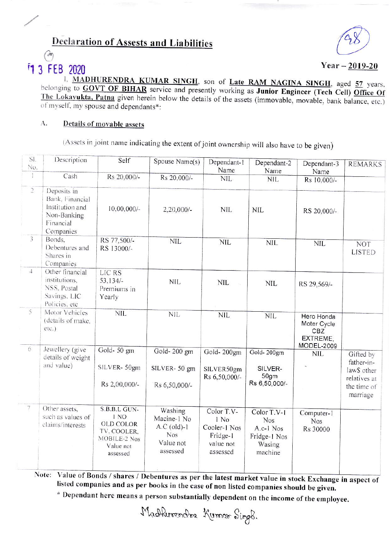## **Declaration of Assests and Liabilities**



# **13 FEB 2020**

Year  $-2019-20$ 

1. MADHURENDRA KUMAR SINGH, son of Late RAM NAGINA SINGH, aged 57 years, belonging to **GOVT OF BIHAR** service and presently working as Junior Engineer (Tech Cell) Office Of The Lokavukta, Patna given herein below the details of the assets (immovable, movable, bank balance, etc.) of myself, my spouse and dependants\*:

#### A. Details of movable assets

(Assets in joint name indicating the extent of joint ownership will also have to be given)

| SI.<br>No.     | Description                                                                                | Self                                                                                             | Spouse Name(s)                                                                 | Dependant-1<br>Name                                                     | Dependant-2<br>Name                                                         | Dependant-3<br>Name                                        | <b>REMARKS</b>                                                                    |
|----------------|--------------------------------------------------------------------------------------------|--------------------------------------------------------------------------------------------------|--------------------------------------------------------------------------------|-------------------------------------------------------------------------|-----------------------------------------------------------------------------|------------------------------------------------------------|-----------------------------------------------------------------------------------|
| $\mathbf{1}$   | Cash                                                                                       | Rs 20,000/-                                                                                      | Rs 20,000/-                                                                    | <b>NIL</b>                                                              | <b>NIL</b>                                                                  | Rs 10,000/-                                                |                                                                                   |
| $\overline{2}$ | Deposits in<br>Bank, Financial<br>Institution and<br>Non-Banking<br>Financial<br>Companies | $10,00,000/-$                                                                                    | 2,20,000/-                                                                     | <b>NIL</b>                                                              | <b>NIL</b>                                                                  | RS 20,000/-                                                |                                                                                   |
| $\overline{3}$ | Bonds,<br>Debentures and<br>Shares in<br>Companies                                         | RS 77,500/-<br>RS 13000/-                                                                        | <b>NIL</b>                                                                     | <b>NIL</b>                                                              | <b>NIL</b>                                                                  | <b>NIL</b>                                                 | <b>NOT</b><br><b>LISTED</b>                                                       |
| $\overline{4}$ | Other financial<br>institutions,<br>NSS, Postal<br>Savings, LIC<br>Policies, etc.          | LIC RS<br>53,134/-<br>Premiums in<br>Yearly                                                      | <b>NIL</b>                                                                     | <b>NIL</b>                                                              | <b>NIL</b>                                                                  | RS 29,569/-                                                |                                                                                   |
| $\overline{5}$ | Motor Vehicles<br>(details of make,<br>etc.)                                               | <b>NIL</b>                                                                                       | <b>NIL</b>                                                                     | <b>NIL</b>                                                              | <b>NIL</b>                                                                  | Hero Honda<br>Moter Cycle<br>CBZ<br>EXTREME.<br>MODEL-2009 |                                                                                   |
| 6              | Jewellery (give<br>details of weight<br>and value)                                         | Gold-50 gm<br>SILVER-50gm<br>Rs 2,00,000/-                                                       | Gold-200 gm<br>SILVER-50 gm<br>Rs 6,50,000/-                                   | Gold-200gm<br>SILVER50gm<br>Rs 6,50,000/-                               | Gold-200gm<br>SILVER-<br>50gm<br>Rs 6,50,000/-                              | <b>NIL</b>                                                 | Gifted by<br>father-in-<br>law\$ other<br>relatives at<br>the time of<br>marriage |
| $\overline{7}$ | Other assets,<br>such as values of<br>claims/interests                                     | S.B.B.L GUN-<br>1 NO<br><b>OLD COLOR</b><br>TV, COOLER.<br>MOBILE-2 Nos<br>Value not<br>assessed | Washing<br>Macine-1 No<br>$A.C$ (old)-1<br><b>Nos</b><br>Value not<br>assessed | Color T.V-<br>1 No<br>Cooler-1 Nos<br>Fridge-1<br>value not<br>assessed | Color T.V-1<br><b>Nos</b><br>A.c-1 Nos<br>Fridge-1 Nos<br>Wasing<br>machine | Computer-1<br><b>Nos</b><br>Rs 30000                       |                                                                                   |

Note: Value of Bonds / shares / Debentures as per the latest market value in stock Exchange in aspect of listed companies and as per books in the case of non listed companies should be given.

\* Dependant here means a person substantially dependent on the income of the employee.

Madherendra Kurnar Sings.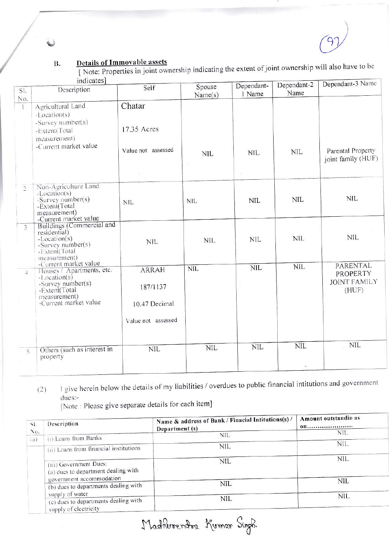### **B.**

Details of Immovable assets<br>
[Note: Properties in joint ownership indicating the extent of joint ownership will also have to be

|                | indicates                                                                                                                                           |                                                                 |                      |            | Dependant-2 | Dependant-3 Name                                     |
|----------------|-----------------------------------------------------------------------------------------------------------------------------------------------------|-----------------------------------------------------------------|----------------------|------------|-------------|------------------------------------------------------|
| SI.            | Description                                                                                                                                         | Self                                                            | Spouse               | Dependant- | Name        |                                                      |
| No.            |                                                                                                                                                     |                                                                 | Name(s)              | 1 Name     |             |                                                      |
|                | Agricultural Land<br>-Location(s)<br>$-Survey number(s)$                                                                                            | Chatar                                                          |                      |            |             |                                                      |
|                | -Extent(Total<br>measurement)<br>-Current market value                                                                                              | 17.35 Acres<br>Value not assessed                               | <b>NIL</b><br>$\sim$ | <b>NIL</b> | <b>NIL</b>  | Parental Property<br>joint family (HUF)              |
|                |                                                                                                                                                     |                                                                 |                      |            |             |                                                      |
| $\overline{2}$ | Non-Agriculture Land<br>$-Location(s)$<br>-Survey number(s)<br>-Extent(Total<br>measurement)<br>-Current market value                               | <b>NIL</b>                                                      | <b>NIL</b>           | <b>NIL</b> | <b>NIL</b>  | <b>NIL</b>                                           |
|                | Buildings (Commercial and<br>residential)<br>$-Location(s)$<br>-Survey number(s)<br>-Extent(Total<br>measurement)                                   | <b>NIL</b>                                                      | <b>NIL</b>           | <b>NIL</b> | <b>NIL</b>  | <b>NIL</b>                                           |
| $\rightarrow$  | -Current market value<br>Houses / Apartments, etc.<br>$-Location(s)$<br>-Survey number(s)<br>-Extent(Total<br>measurement)<br>-Current market value | <b>ARRAH</b><br>187/1137<br>10.47 Decimal<br>Value not assessed | <b>NIL</b>           | NIL        | NIL         | PARENTAL<br>PROPERTY<br><b>JOINT FAMILY</b><br>(HUF) |
| $\overline{5}$ | Others (such as interest in<br>property                                                                                                             | <b>NIL</b>                                                      | <b>NIL</b>           | NIL        | <b>NIL</b>  | <b>NIL</b>                                           |

I give herein below the details of my liabilities / overdues to public financial intitutions and government  $(2)$ dues:-

[Note : Please give separate details for each item]

| SI.<br>No. | Description                                                                         | Name & address of Bank / Finacial Intitutions(s) /<br>Department (s) | Amount outstandin as<br><b>00</b> |
|------------|-------------------------------------------------------------------------------------|----------------------------------------------------------------------|-----------------------------------|
|            | (i) Loans from Banks                                                                | <b>NIL</b>                                                           | NIL.                              |
| (a)        | (ii) Loans from financial institutions                                              | <b>NIL</b>                                                           | <b>NIL</b>                        |
|            | (iii) Government Dues:<br>(a) dues to department dealing with                       | NIL                                                                  | NIL                               |
|            | government accommodation<br>(b) dues to departments dealing with<br>supply of water | <b>NIL</b>                                                           | <b>NIL</b>                        |
|            | (c) dues to departments dealing with<br>supply of electricity                       | NIL.                                                                 | <b>NIL</b>                        |

Madherendor Kumar Sigok.